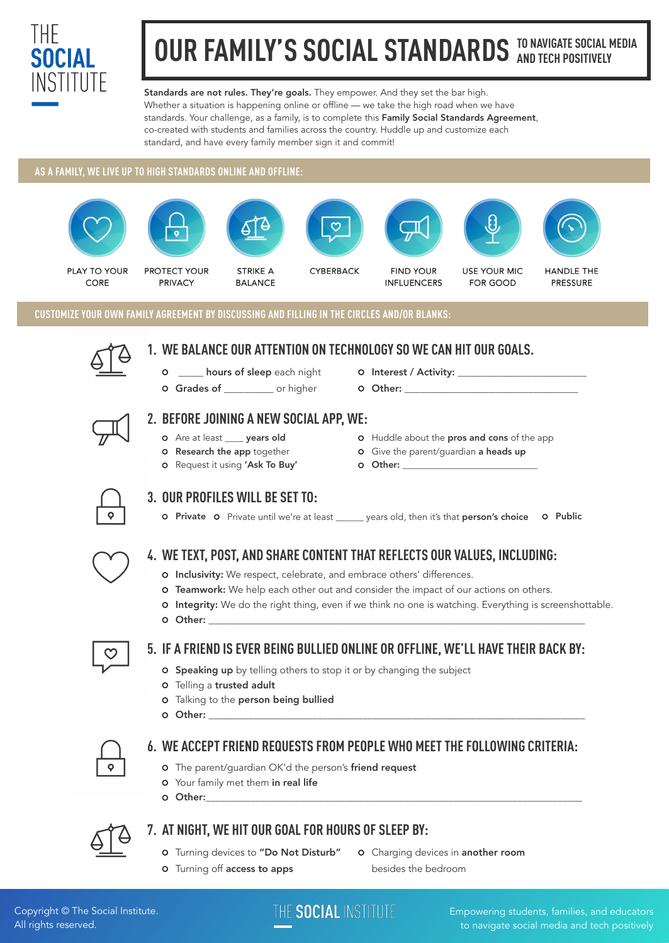Standards are not rules. They're goals. They empower. And they set the bar high. Whether a situation is happening online or offline — we take the high road when we have standards. Your challenge, as a family, is to complete this Family Social Standards Agreement, co-created with students and families across the country. Huddle up and customize each standard, and have every family member sign it and commit!



## **OUR FAMILY'S SOCIAL STANDARDS TO NAVIGATE SOCIAL MEDIA AND TECH POSITIVELY**

- **O** Inclusivity: We respect, celebrate, and embrace others' differences.
- **O** Teamwork: We help each other out and consider the impact of our actions on others.
- **O** Integrity: We do the right thing, even if we think no one is watching. Everything is screenshottable.
- Other: \_\_\_\_\_\_\_\_\_\_\_\_\_\_\_\_\_\_\_\_\_\_\_\_\_\_\_\_\_\_\_\_\_\_\_\_\_\_\_\_\_\_\_\_\_\_\_\_\_\_\_\_\_\_\_\_\_\_\_\_\_\_\_\_\_\_\_\_\_\_\_\_\_\_\_\_



### **AS A FAMILY, WE LIVE UP TO HIGH STANDARDS ONLINE AND OFFLINE:**















PLAY TO YOUR **CORE** 

**PROTECT YOUR PRIVACY** 

**STRIKE A BALANCE** 

**CYBERBACK** 

**FIND YOUR INFLUENCERS** 

**USE YOUR MIC** FOR GOOD

**HANDLE THE PRESSURE** 

- Interest / Activity: \_\_\_\_\_\_\_\_\_\_\_\_\_\_\_\_\_\_\_\_\_\_\_\_\_\_
- Other: \_\_\_\_\_\_\_\_\_\_\_\_\_\_\_\_\_\_\_\_\_\_\_\_\_\_\_\_\_\_\_\_\_\_\_
- o Huddle about the pros and cons of the app
- **O** Give the parent/guardian **a heads up**
- O Other:





### **4. WE TEXT, POST, AND SHARE CONTENT THAT REFLECTS OUR VALUES, INCLUDING:**

- **O** Speaking up by telling others to stop it or by changing the subject
- o Telling a trusted adult
- **O** Talking to the person being bullied
- Other: \_\_\_\_\_\_\_\_\_\_\_\_\_\_\_\_\_\_\_\_\_\_\_\_\_\_\_\_\_\_\_\_\_\_\_\_\_\_\_\_\_\_\_\_\_\_\_\_\_\_\_\_\_\_\_\_\_\_\_\_\_\_\_\_\_\_\_\_\_\_\_\_\_\_\_\_



- **O** Turning devices to "Do Not Disturb"
- o Charging devices in another room
- **O** Turning off access to apps
- besides the bedroom

## **1. WE BALANCE OUR ATTENTION ON TECHNOLOGY SO WE CAN HIT OUR GOALS.**

- **o** \_\_\_\_\_\_ **hours of sleep** each night
- **O** Grades of \_\_\_\_\_\_\_\_\_ or higher



## **5. IF A FRIEND IS EVER BEING BULLIED ONLINE OR OFFLINE, WE'LL HAVE THEIR BACK BY:**

## **6. WE ACCEPT FRIEND REQUESTS FROM PEOPLE WHO MEET THE FOLLOWING CRITERIA:**

- o The parent/guardian OK'd the person's friend request
- Your family met them in real life
- O Other: where  $\sim$  0  $\sim$  0  $\sim$  0  $\sim$  0  $\sim$  0  $\sim$  0  $\sim$  0  $\sim$  0  $\sim$  0  $\sim$  0  $\sim$  0  $\sim$  0  $\sim$  0  $\sim$  0  $\sim$  0  $\sim$  0  $\sim$  0  $\sim$  0  $\sim$  0  $\sim$  0  $\sim$  0  $\sim$  0  $\sim$  0  $\sim$  0  $\sim$  0  $\sim$  0  $\sim$  0  $\sim$  0  $\sim$  0  $\sim$



## **7. AT NIGHT, WE HIT OUR GOAL FOR HOURS OF SLEEP BY:**

## **2. BEFORE JOINING A NEW SOCIAL APP, WE:**

- **o** Are at least **years old**
- **O** Research the app together
- **O** Request it using 'Ask To Buy'



## **3. OUR PROFILES WILL BE SET TO:**

**O** Private O Private until we're at least \_\_\_\_\_\_ years old, then it's that person's choice O Public

Empowering students, families, and educators to navigate social media and tech positively

**CUSTOMIZE YOUR OWN FAMILY AGREEMENT BY DISCUSSING AND FILLING IN THE CIRCLES AND/OR BLANKS:** 

Copyright © The Social Institute. All rights reserved.

## THE SOCIAL INSTITUTE